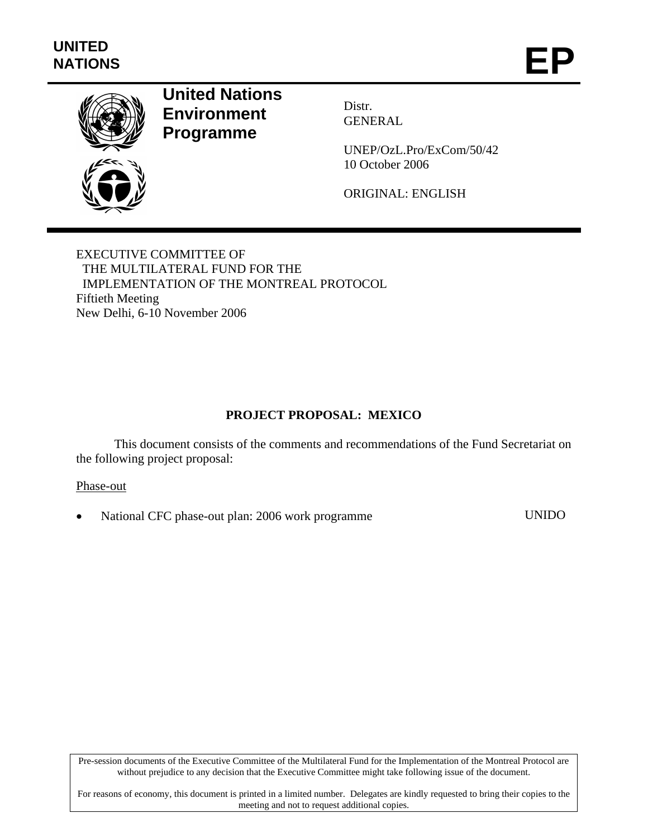

# **United Nations Environment Programme**

Distr. GENERAL

UNEP/OzL.Pro/ExCom/50/42 10 October 2006

ORIGINAL: ENGLISH

EXECUTIVE COMMITTEE OF THE MULTILATERAL FUND FOR THE IMPLEMENTATION OF THE MONTREAL PROTOCOL Fiftieth Meeting New Delhi, 6-10 November 2006

## **PROJECT PROPOSAL: MEXICO**

This document consists of the comments and recommendations of the Fund Secretariat on the following project proposal:

#### Phase-out

• National CFC phase-out plan: 2006 work programme UNIDO

Pre-session documents of the Executive Committee of the Multilateral Fund for the Implementation of the Montreal Protocol are without prejudice to any decision that the Executive Committee might take following issue of the document.

For reasons of economy, this document is printed in a limited number. Delegates are kindly requested to bring their copies to the meeting and not to request additional copies.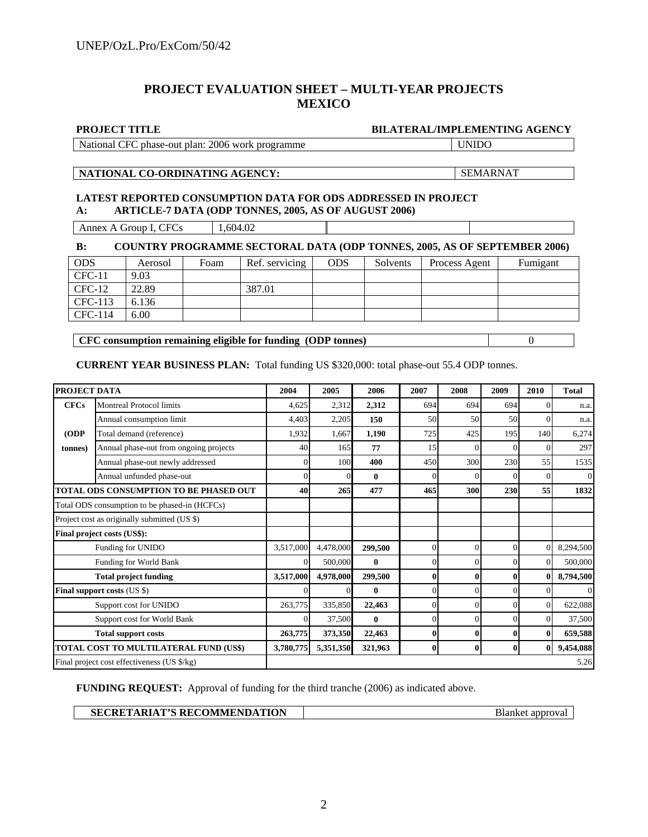#### **PROJECT EVALUATION SHEET – MULTI-YEAR PROJECTS MEXICO**

**PROJECT TITLE BILATERAL/IMPLEMENTING AGENCY LATEST REPORTED CONSUMPTION DATA FOR ODS ADDRESSED IN PROJECT A: ARTICLE-7 DATA (ODP TONNES, 2005, AS OF AUGUST 2006)**  National CFC phase-out plan: 2006 work programme UNIDO **NATIONAL CO-ORDINATING AGENCY:** SEMARNAT

Annex A Group I, CFCs 1,604.02

#### **B: COUNTRY PROGRAMME SECTORAL DATA (ODP TONNES, 2005, AS OF SEPTEMBER 2006)**

| <b>ODS</b> | Aerosol | Foam | Ref. servicing | <b>ODS</b> | Solvents | Process Agent | Fumigant |
|------------|---------|------|----------------|------------|----------|---------------|----------|
| $CFC-11$   | 9.03    |      |                |            |          |               |          |
| $CFC-12$   | 22.89   |      | 387.01         |            |          |               |          |
| CFC-113    | 6.136   |      |                |            |          |               |          |
| CFC-114    | 6.00    |      |                |            |          |               |          |

**CFC consumption remaining eligible for funding (ODP tonnes)** 0

**CURRENT YEAR BUSINESS PLAN:** Total funding US \$320,000: total phase-out 55.4 ODP tonnes.

| PROJECT DATA                                  |                                             | 2004      | 2005      | 2006         | 2007     | 2008         | 2009 | 2010           | <b>Total</b>   |
|-----------------------------------------------|---------------------------------------------|-----------|-----------|--------------|----------|--------------|------|----------------|----------------|
| <b>CFCs</b>                                   | <b>Montreal Protocol limits</b>             | 4,625     | 2,312     | 2,312        | 694      | 694          | 694  | $\Omega$       | n.a.           |
|                                               | Annual consumption limit                    | 4,403     | 2,205     | 150          | 50       | 50           | 50   | $\Omega$       | n.a.           |
| (ODP                                          | Total demand (reference)                    | 1,932     | 1,667     | 1,190        | 725      | 425          | 195  | 140            | 6,274          |
| (tonnes)                                      | Annual phase-out from ongoing projects      | 40        | 165       | 77           | 15       |              |      | $\Omega$       | 297            |
|                                               | Annual phase-out newly addressed            |           | 100       | 400          | 450      | 300          | 230  | 55             | 1535           |
|                                               | Annual unfunded phase-out                   |           | $\Omega$  | $\mathbf{0}$ | $\Omega$ | 0            |      | $\Omega$       | $\overline{0}$ |
| <b>TOTAL ODS CONSUMPTION TO BE PHASED OUT</b> |                                             | 40        | 265       | 477          | 465      | 300          | 230  | 55             | 1832           |
| Total ODS consumption to be phased-in (HCFCs) |                                             |           |           |              |          |              |      |                |                |
| Project cost as originally submitted (US \$)  |                                             |           |           |              |          |              |      |                |                |
| Final project costs (US\$):                   |                                             |           |           |              |          |              |      |                |                |
| Funding for UNIDO                             |                                             | 3,517,000 | 4,478,000 | 299,500      | $\theta$ | $\Omega$     |      | $\Omega$       | 8,294,500      |
| Funding for World Bank                        |                                             |           | 500,000   | $\mathbf{0}$ | $\theta$ | $\theta$     |      | $\Omega$       | 500,000        |
| <b>Total project funding</b>                  |                                             | 3,517,000 | 4,978,000 | 299,500      | $\bf{0}$ | $\mathbf{0}$ |      | $\mathbf{0}$   | 8,794,500      |
| <b>Final support costs (US \$)</b>            |                                             |           |           | $\bf{0}$     | $\theta$ | $\theta$     |      | $\overline{0}$ | $\Omega$       |
| Support cost for UNIDO                        |                                             | 263,775   | 335,850   | 22,463       | $\Omega$ | $\Omega$     |      | $\overline{0}$ | 622,088        |
| Support cost for World Bank                   |                                             |           | 37,500    | $\bf{0}$     | $\theta$ |              |      | $\overline{0}$ | 37,500         |
| <b>Total support costs</b>                    |                                             | 263,775   | 373,350   | 22,463       | $\bf{0}$ | $\mathbf{0}$ | 0    | $\bf{0}$       | 659,588        |
| <b>TOTAL COST TO MULTILATERAL FUND (US\$)</b> |                                             | 3,780,775 | 5,351,350 | 321,963      | $\bf{0}$ | $\mathbf{0}$ | 0    | $\bf{0}$       | 9,454,088      |
|                                               | Final project cost effectiveness (US \$/kg) |           |           |              |          |              |      |                | 5.26           |

**FUNDING REQUEST:** Approval of funding for the third tranche (2006) as indicated above.

| SECRETARIAT'S RECOMMENDATION | approval<br>ыапкес |
|------------------------------|--------------------|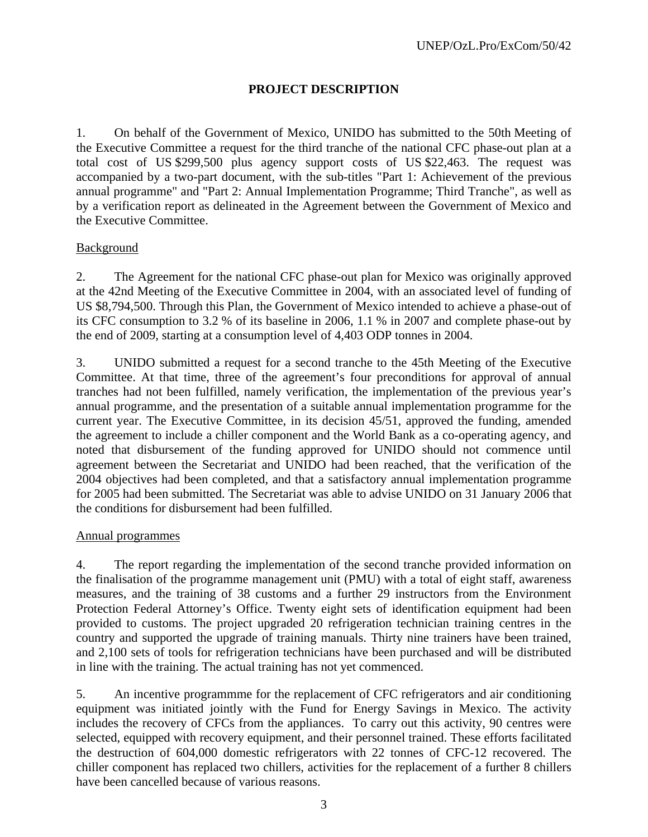## **PROJECT DESCRIPTION**

1. On behalf of the Government of Mexico, UNIDO has submitted to the 50th Meeting of the Executive Committee a request for the third tranche of the national CFC phase-out plan at a total cost of US \$299,500 plus agency support costs of US \$22,463. The request was accompanied by a two-part document, with the sub-titles "Part 1: Achievement of the previous annual programme" and "Part 2: Annual Implementation Programme; Third Tranche", as well as by a verification report as delineated in the Agreement between the Government of Mexico and the Executive Committee.

#### **Background**

2. The Agreement for the national CFC phase-out plan for Mexico was originally approved at the 42nd Meeting of the Executive Committee in 2004, with an associated level of funding of US \$8,794,500. Through this Plan, the Government of Mexico intended to achieve a phase-out of its CFC consumption to 3.2 % of its baseline in 2006, 1.1 % in 2007 and complete phase-out by the end of 2009, starting at a consumption level of 4,403 ODP tonnes in 2004.

3. UNIDO submitted a request for a second tranche to the 45th Meeting of the Executive Committee. At that time, three of the agreement's four preconditions for approval of annual tranches had not been fulfilled, namely verification, the implementation of the previous year's annual programme, and the presentation of a suitable annual implementation programme for the current year. The Executive Committee, in its decision 45/51, approved the funding, amended the agreement to include a chiller component and the World Bank as a co-operating agency, and noted that disbursement of the funding approved for UNIDO should not commence until agreement between the Secretariat and UNIDO had been reached, that the verification of the 2004 objectives had been completed, and that a satisfactory annual implementation programme for 2005 had been submitted. The Secretariat was able to advise UNIDO on 31 January 2006 that the conditions for disbursement had been fulfilled.

#### Annual programmes

4. The report regarding the implementation of the second tranche provided information on the finalisation of the programme management unit (PMU) with a total of eight staff, awareness measures, and the training of 38 customs and a further 29 instructors from the Environment Protection Federal Attorney's Office. Twenty eight sets of identification equipment had been provided to customs. The project upgraded 20 refrigeration technician training centres in the country and supported the upgrade of training manuals. Thirty nine trainers have been trained, and 2,100 sets of tools for refrigeration technicians have been purchased and will be distributed in line with the training. The actual training has not yet commenced.

5. An incentive programmme for the replacement of CFC refrigerators and air conditioning equipment was initiated jointly with the Fund for Energy Savings in Mexico. The activity includes the recovery of CFCs from the appliances. To carry out this activity, 90 centres were selected, equipped with recovery equipment, and their personnel trained. These efforts facilitated the destruction of 604,000 domestic refrigerators with 22 tonnes of CFC-12 recovered. The chiller component has replaced two chillers, activities for the replacement of a further 8 chillers have been cancelled because of various reasons.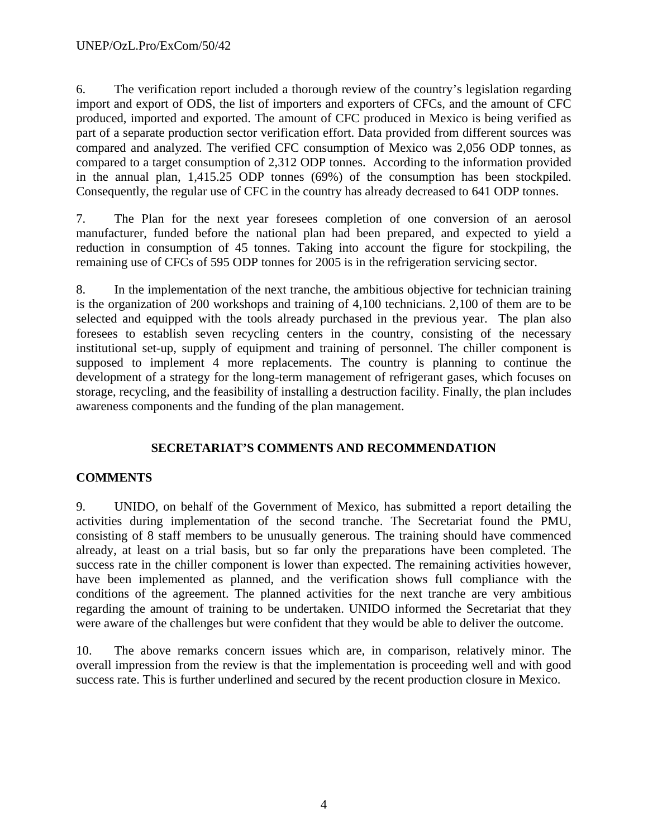6. The verification report included a thorough review of the country's legislation regarding import and export of ODS, the list of importers and exporters of CFCs, and the amount of CFC produced, imported and exported. The amount of CFC produced in Mexico is being verified as part of a separate production sector verification effort. Data provided from different sources was compared and analyzed. The verified CFC consumption of Mexico was 2,056 ODP tonnes, as compared to a target consumption of 2,312 ODP tonnes. According to the information provided in the annual plan, 1,415.25 ODP tonnes (69%) of the consumption has been stockpiled. Consequently, the regular use of CFC in the country has already decreased to 641 ODP tonnes.

7. The Plan for the next year foresees completion of one conversion of an aerosol manufacturer, funded before the national plan had been prepared, and expected to yield a reduction in consumption of 45 tonnes. Taking into account the figure for stockpiling, the remaining use of CFCs of 595 ODP tonnes for 2005 is in the refrigeration servicing sector.

8. In the implementation of the next tranche, the ambitious objective for technician training is the organization of 200 workshops and training of 4,100 technicians. 2,100 of them are to be selected and equipped with the tools already purchased in the previous year. The plan also foresees to establish seven recycling centers in the country, consisting of the necessary institutional set-up, supply of equipment and training of personnel. The chiller component is supposed to implement 4 more replacements. The country is planning to continue the development of a strategy for the long-term management of refrigerant gases, which focuses on storage, recycling, and the feasibility of installing a destruction facility. Finally, the plan includes awareness components and the funding of the plan management.

# **SECRETARIAT'S COMMENTS AND RECOMMENDATION**

# **COMMENTS**

9. UNIDO, on behalf of the Government of Mexico, has submitted a report detailing the activities during implementation of the second tranche. The Secretariat found the PMU, consisting of 8 staff members to be unusually generous. The training should have commenced already, at least on a trial basis, but so far only the preparations have been completed. The success rate in the chiller component is lower than expected. The remaining activities however, have been implemented as planned, and the verification shows full compliance with the conditions of the agreement. The planned activities for the next tranche are very ambitious regarding the amount of training to be undertaken. UNIDO informed the Secretariat that they were aware of the challenges but were confident that they would be able to deliver the outcome.

10. The above remarks concern issues which are, in comparison, relatively minor. The overall impression from the review is that the implementation is proceeding well and with good success rate. This is further underlined and secured by the recent production closure in Mexico.